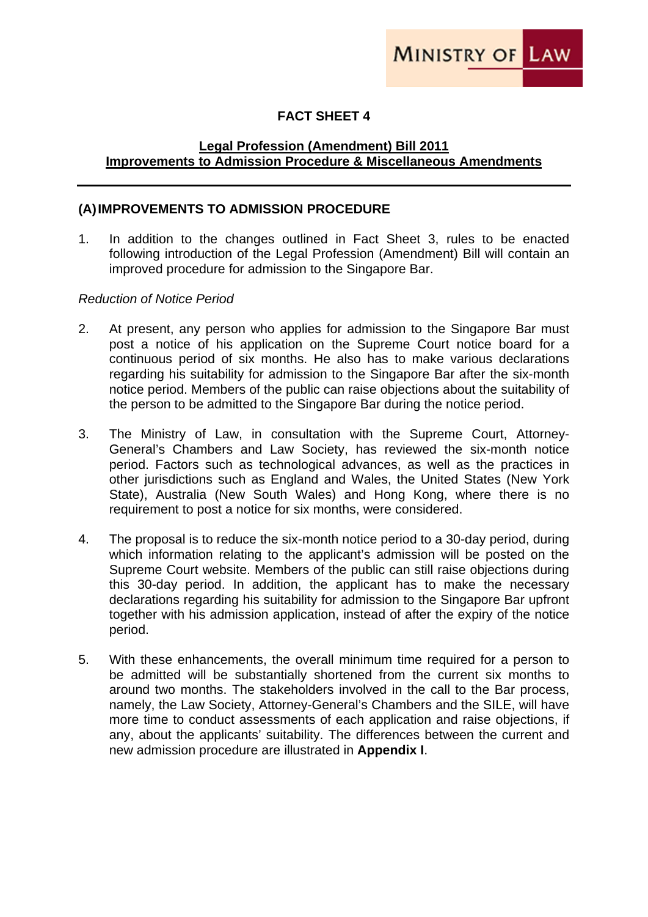# **FACT SHEET 4**

### **Legal Profession (Amendment) Bill 2011 Improvements to Admission Procedure & Miscellaneous Amendments**

#### **(A) IMPROVEMENTS TO ADMISSION PROCEDURE**

1. In addition to the changes outlined in Fact Sheet 3, rules to be enacted following introduction of the Legal Profession (Amendment) Bill will contain an improved procedure for admission to the Singapore Bar.

#### *Reduction of Notice Period*

- 2. At present, any person who applies for admission to the Singapore Bar must post a notice of his application on the Supreme Court notice board for a continuous period of six months. He also has to make various declarations regarding his suitability for admission to the Singapore Bar after the six-month notice period. Members of the public can raise objections about the suitability of the person to be admitted to the Singapore Bar during the notice period.
- 3. The Ministry of Law, in consultation with the Supreme Court, Attorney-General's Chambers and Law Society, has reviewed the six-month notice period. Factors such as technological advances, as well as the practices in other jurisdictions such as England and Wales, the United States (New York State), Australia (New South Wales) and Hong Kong, where there is no requirement to post a notice for six months, were considered.
- 4. The proposal is to reduce the six-month notice period to a 30-day period, during which information relating to the applicant's admission will be posted on the Supreme Court website. Members of the public can still raise objections during this 30-day period. In addition, the applicant has to make the necessary declarations regarding his suitability for admission to the Singapore Bar upfront together with his admission application, instead of after the expiry of the notice period.
- 5. With these enhancements, the overall minimum time required for a person to be admitted will be substantially shortened from the current six months to around two months. The stakeholders involved in the call to the Bar process, namely, the Law Society, Attorney-General's Chambers and the SILE, will have more time to conduct assessments of each application and raise objections, if any, about the applicants' suitability. The differences between the current and new admission procedure are illustrated in **Appendix I**.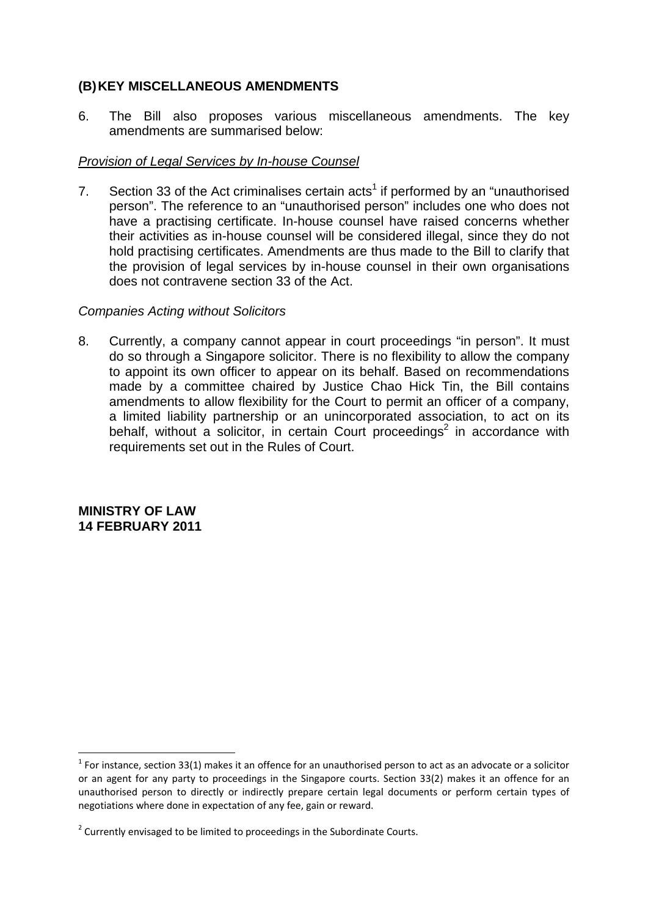## **(B) KEY MISCELLANEOUS AMENDMENTS**

6. The Bill also proposes various miscellaneous amendments. The key amendments are summarised below:

#### *Provision of Legal Services by In-house Counsel*

7. Section 33 of the Act criminalises certain acts<sup>1</sup> if performed by an "unauthorised person". The reference to an "unauthorised person" includes one who does not have a practising certificate. In-house counsel have raised concerns whether their activities as in-house counsel will be considered illegal, since they do not hold practising certificates. Amendments are thus made to the Bill to clarify that the provision of legal services by in-house counsel in their own organisations does not contravene section 33 of the Act.

#### *Companies Acting without Solicitors*

8. Currently, a company cannot appear in court proceedings "in person". It must do so through a Singapore solicitor. There is no flexibility to allow the company to appoint its own officer to appear on its behalf. Based on recommendations made by a committee chaired by Justice Chao Hick Tin, the Bill contains amendments to allow flexibility for the Court to permit an officer of a company, a limited liability partnership or an unincorporated association, to act on its behalf, without a solicitor, in certain Court proceedings<sup>2</sup> in accordance with requirements set out in the Rules of Court.

**MINISTRY OF LAW 14 FEBRUARY 2011** 

 $1$  For instance, section 33(1) makes it an offence for an unauthorised person to act as an advocate or a solicitor or an agent for any party to proceedings in the Singapore courts. Section 33(2) makes it an offence for an unauthorised person to directly or indirectly prepare certain legal documents or perform certain types of negotiations where done in expectation of any fee, gain or reward.

 $2$  Currently envisaged to be limited to proceedings in the Subordinate Courts.